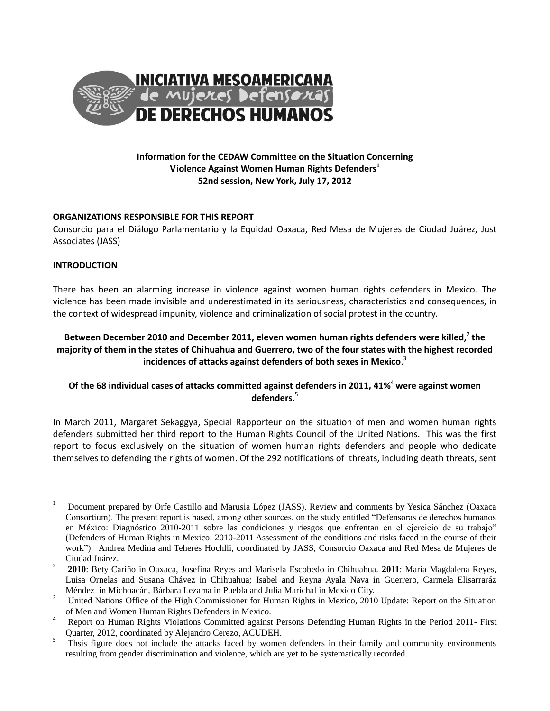

## **Information for the CEDAW Committee on the Situation Concerning Violence Against Women Human Rights Defenders<sup>1</sup> 52nd session, New York, July 17, 2012**

## **ORGANIZATIONS RESPONSIBLE FOR THIS REPORT**

Consorcio para el Diálogo Parlamentario y la Equidad Oaxaca, Red Mesa de Mujeres de Ciudad Juárez, Just Associates (JASS)

## **INTRODUCTION**

There has been an alarming increase in violence against women human rights defenders in Mexico. The violence has been made invisible and underestimated in its seriousness, characteristics and consequences, in the context of widespread impunity, violence and criminalization of social protest in the country.

# Between December 2010 and December 2011, eleven women human rights defenders were killed,<sup>2</sup> the **majority of them in the states of Chihuahua and Guerrero, two of the four states with the highest recorded incidences of attacks against defenders of both sexes in Mexico**. 3

# **Of the 68 individual cases of attacks committed against defenders in 2011, 41%**<sup>4</sup> **were against women defenders**. 5

In March 2011, Margaret Sekaggya, Special Rapporteur on the situation of men and women human rights defenders submitted her third report to the Human Rights Council of the United Nations. This was the first report to focus exclusively on the situation of women human rights defenders and people who dedicate themselves to defending the rights of women. Of the 292 notifications of threats, including death threats, sent

 $\mathbf 1$ <sup>1</sup> Document prepared by Orfe Castillo and Marusia López (JASS). Review and comments by Yesica Sánchez (Oaxaca Consortium). The present report is based, among other sources, on the study entitled "Defensoras de derechos humanos en México: Diagnóstico 2010-2011 sobre las condiciones y riesgos que enfrentan en el ejercicio de su trabajo" (Defenders of Human Rights in Mexico: 2010-2011 Assessment of the conditions and risks faced in the course of their work"). Andrea Medina and Teheres Hochlli, coordinated by JASS, Consorcio Oaxaca and Red Mesa de Mujeres de Ciudad Juárez.

<sup>2</sup> **2010**: Bety Cariño in Oaxaca, Josefina Reyes and Marisela Escobedo in Chihuahua. **2011**: María Magdalena Reyes, Luisa Ornelas and Susana Chávez in Chihuahua; Isabel and Reyna Ayala Nava in Guerrero, Carmela Elisarraráz Méndez in Michoacán, Bárbara Lezama in Puebla and Julia Marichal in Mexico City.

<sup>&</sup>lt;sup>3</sup> United Nations Office of the High Commissioner for Human Rights in Mexico, 2010 Update: Report on the Situation of Men and Women Human Rights Defenders in Mexico.

<sup>&</sup>lt;sup>4</sup> Report on Human Rights Violations Committed against Persons Defending Human Rights in the Period 2011- First Quarter, 2012, coordinated by Alejandro Cerezo, ACUDEH.

<sup>5</sup> Thsis figure does not include the attacks faced by women defenders in their family and community environments resulting from gender discrimination and violence, which are yet to be systematically recorded.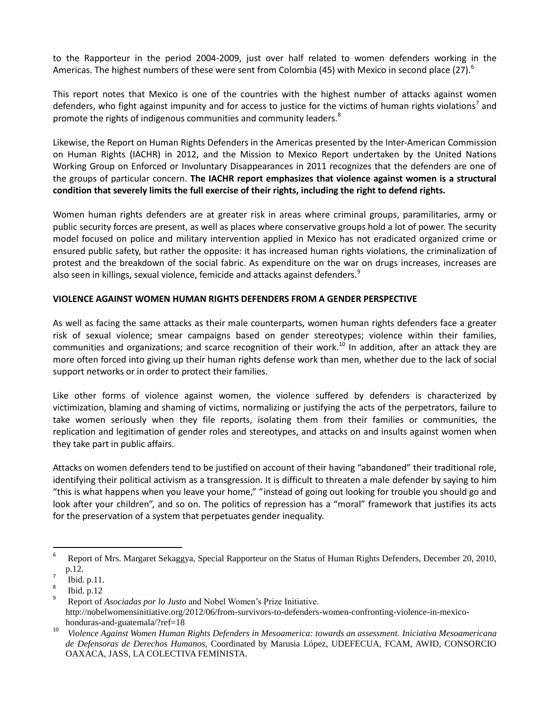to the Rapporteur in the period 2004-2009, just over half related to women defenders working in the Americas. The highest numbers of these were sent from Colombia (45) with Mexico in second place (27).<sup>6</sup>

This report notes that Mexico is one of the countries with the highest number of attacks against women defenders, who fight against impunity and for access to justice for the victims of human rights violations<sup>7</sup> and promote the rights of indigenous communities and community leaders.<sup>8</sup>

Likewise, the Report on Human Rights Defenders in the Americas presented by the Inter-American Commission on Human Rights (IACHR) in 2012, and the Mission to Mexico Report undertaken by the United Nations Working Group on Enforced or Involuntary Disappearances in 2011 recognizes that the defenders are one of the groups of particular concern. **The IACHR report emphasizes that violence against women is a structural condition that severely limits the full exercise of their rights, including the right to defend rights.**

Women human rights defenders are at greater risk in areas where criminal groups, paramilitaries, army or public security forces are present, as well as places where conservative groups hold a lot of power. The security model focused on police and military intervention applied in Mexico has not eradicated organized crime or ensured public safety, but rather the opposite: it has increased human rights violations, the criminalization of protest and the breakdown of the social fabric. As expenditure on the war on drugs increases, increases are also seen in killings, sexual violence, femicide and attacks against defenders.<sup>9</sup>

## **VIOLENCE AGAINST WOMEN HUMAN RIGHTS DEFENDERS FROM A GENDER PERSPECTIVE**

As well as facing the same attacks as their male counterparts, women human rights defenders face a greater risk of sexual violence; smear campaigns based on gender stereotypes; violence within their families, communities and organizations; and scarce recognition of their work.<sup>10</sup> In addition, after an attack they are more often forced into giving up their human rights defense work than men, whether due to the lack of social support networks or in order to protect their families.

Like other forms of violence against women, the violence suffered by defenders is characterized by victimization, blaming and shaming of victims, normalizing or justifying the acts of the perpetrators, failure to take women seriously when they file reports, isolating them from their families or communities, the replication and legitimation of gender roles and stereotypes, and attacks on and insults against women when they take part in public affairs.

Attacks on women defenders tend to be justified on account of their having "abandoned" their traditional role, identifying their political activism as a transgression. It is difficult to threaten a male defender by saying to him "this is what happens when you leave your home," "instead of going out looking for trouble you should go and look after your children", and so on. The politics of repression has a "moral" framework that justifies its acts for the preservation of a system that perpetuates gender inequality.

<sup>-&</sup>lt;br>6 Report of Mrs. Margaret Sekaggya, Special Rapporteur on the Status of Human Rights Defenders, December 20, 2010, p.12. 7

Ibid. p.11.

<sup>8</sup> Ibid. p.12

<sup>9</sup> Report of *Asociadas por lo Justo* and Nobel Women's Prize Initiative. http://nobelwomensinitiative.org/2012/06/from-survivors-to-defenders-women-confronting-violence-in-mexicohonduras-and-guatemala/?ref=18

<sup>10</sup> *Violence Against Women Human Rights Defenders in Mesoamerica: towards an assessment. Iniciativa Mesoamericana de Defensoras de Derechos Humanos,* Coordinated by Marusia López, UDEFECUA, FCAM, AWID, CONSORCIO OAXACA, JASS, LA COLECTIVA FEMINISTA.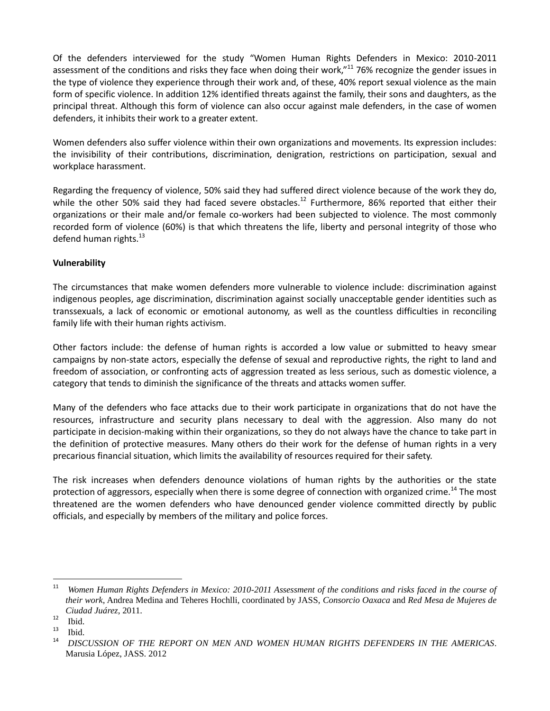Of the defenders interviewed for the study "Women Human Rights Defenders in Mexico: 2010-2011 assessment of the conditions and risks they face when doing their work,"<sup>11</sup> 76% recognize the gender issues in the type of violence they experience through their work and, of these, 40% report sexual violence as the main form of specific violence. In addition 12% identified threats against the family, their sons and daughters, as the principal threat. Although this form of violence can also occur against male defenders, in the case of women defenders, it inhibits their work to a greater extent.

Women defenders also suffer violence within their own organizations and movements. Its expression includes: the invisibility of their contributions, discrimination, denigration, restrictions on participation, sexual and workplace harassment.

Regarding the frequency of violence, 50% said they had suffered direct violence because of the work they do, while the other 50% said they had faced severe obstacles.<sup>12</sup> Furthermore, 86% reported that either their organizations or their male and/or female co-workers had been subjected to violence. The most commonly recorded form of violence (60%) is that which threatens the life, liberty and personal integrity of those who defend human rights.<sup>13</sup>

## **Vulnerability**

The circumstances that make women defenders more vulnerable to violence include: discrimination against indigenous peoples, age discrimination, discrimination against socially unacceptable gender identities such as transsexuals, a lack of economic or emotional autonomy, as well as the countless difficulties in reconciling family life with their human rights activism.

Other factors include: the defense of human rights is accorded a low value or submitted to heavy smear campaigns by non-state actors, especially the defense of sexual and reproductive rights, the right to land and freedom of association, or confronting acts of aggression treated as less serious, such as domestic violence, a category that tends to diminish the significance of the threats and attacks women suffer.

Many of the defenders who face attacks due to their work participate in organizations that do not have the resources, infrastructure and security plans necessary to deal with the aggression. Also many do not participate in decision-making within their organizations, so they do not always have the chance to take part in the definition of protective measures. Many others do their work for the defense of human rights in a very precarious financial situation, which limits the availability of resources required for their safety.

The risk increases when defenders denounce violations of human rights by the authorities or the state protection of aggressors, especially when there is some degree of connection with organized crime.<sup>14</sup> The most threatened are the women defenders who have denounced gender violence committed directly by public officials, and especially by members of the military and police forces.

<sup>11</sup> <sup>11</sup> *Women Human Rights Defenders in Mexico: 2010-2011 Assessment of the conditions and risks faced in the course of their work*, Andrea Medina and Teheres Hochlli, coordinated by JASS, *Consorcio Oaxaca* and *Red Mesa de Mujeres de Ciudad Juárez*, 2011.

 $\frac{12}{13}$  Ibid.

 $\frac{13}{14}$  Ibid.

<sup>14</sup> *DISCUSSION OF THE REPORT ON MEN AND WOMEN HUMAN RIGHTS DEFENDERS IN THE AMERICAS*. Marusia López, JASS. 2012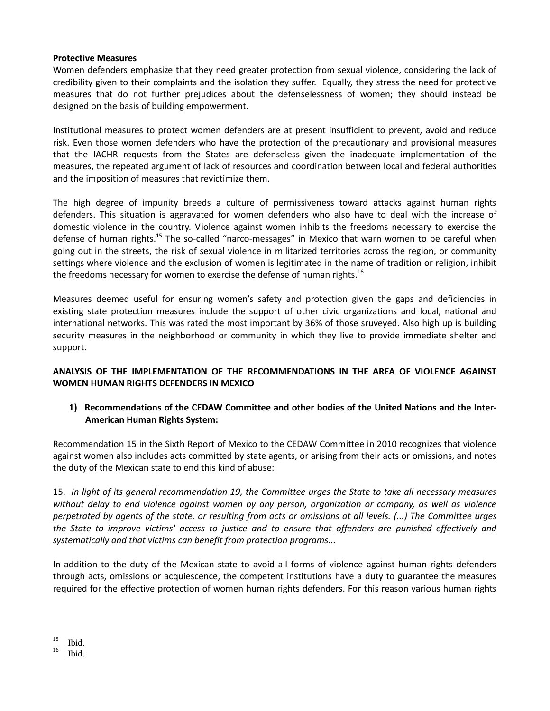## **Protective Measures**

Women defenders emphasize that they need greater protection from sexual violence, considering the lack of credibility given to their complaints and the isolation they suffer. Equally, they stress the need for protective measures that do not further prejudices about the defenselessness of women; they should instead be designed on the basis of building empowerment.

Institutional measures to protect women defenders are at present insufficient to prevent, avoid and reduce risk. Even those women defenders who have the protection of the precautionary and provisional measures that the IACHR requests from the States are defenseless given the inadequate implementation of the measures, the repeated argument of lack of resources and coordination between local and federal authorities and the imposition of measures that revictimize them.

The high degree of impunity breeds a culture of permissiveness toward attacks against human rights defenders. This situation is aggravated for women defenders who also have to deal with the increase of domestic violence in the country. Violence against women inhibits the freedoms necessary to exercise the defense of human rights.<sup>15</sup> The so-called "narco-messages" in Mexico that warn women to be careful when going out in the streets, the risk of sexual violence in militarized territories across the region, or community settings where violence and the exclusion of women is legitimated in the name of tradition or religion, inhibit the freedoms necessary for women to exercise the defense of human rights.<sup>16</sup>

Measures deemed useful for ensuring women's safety and protection given the gaps and deficiencies in existing state protection measures include the support of other civic organizations and local, national and international networks. This was rated the most important by 36% of those sruveyed. Also high up is building security measures in the neighborhood or community in which they live to provide immediate shelter and support.

## **ANALYSIS OF THE IMPLEMENTATION OF THE RECOMMENDATIONS IN THE AREA OF VIOLENCE AGAINST WOMEN HUMAN RIGHTS DEFENDERS IN MEXICO**

# **1) Recommendations of the CEDAW Committee and other bodies of the United Nations and the Inter-American Human Rights System:**

Recommendation 15 in the Sixth Report of Mexico to the CEDAW Committee in 2010 recognizes that violence against women also includes acts committed by state agents, or arising from their acts or omissions, and notes the duty of the Mexican state to end this kind of abuse:

15. *In light of its general recommendation 19, the Committee urges the State to take all necessary measures without delay to end violence against women by any person, organization or company, as well as violence perpetrated by agents of the state, or resulting from acts or omissions at all levels. (...) The Committee urges the State to improve victims' access to justice and to ensure that offenders are punished effectively and systematically and that victims can benefit from protection programs...*

In addition to the duty of the Mexican state to avoid all forms of violence against human rights defenders through acts, omissions or acquiescence, the competent institutions have a duty to guarantee the measures required for the effective protection of women human rights defenders. For this reason various human rights

 $\overline{a}$  $15$  Ibid.<br> $16$   $11:4$ 

<sup>16</sup> Ibid.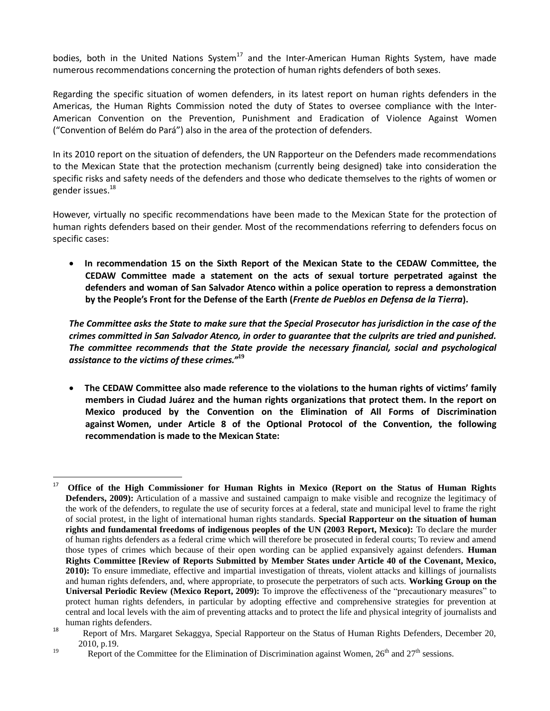bodies, both in the United Nations System $^{17}$  and the Inter-American Human Rights System, have made numerous recommendations concerning the protection of human rights defenders of both sexes.

Regarding the specific situation of women defenders, in its latest report on human rights defenders in the Americas, the Human Rights Commission noted the duty of States to oversee compliance with the Inter-American Convention on the Prevention, Punishment and Eradication of Violence Against Women ("Convention of Belém do Pará") also in the area of the protection of defenders.

In its 2010 report on the situation of defenders, the UN Rapporteur on the Defenders made recommendations to the Mexican State that the protection mechanism (currently being designed) take into consideration the specific risks and safety needs of the defenders and those who dedicate themselves to the rights of women or gender issues.<sup>18</sup>

However, virtually no specific recommendations have been made to the Mexican State for the protection of human rights defenders based on their gender. Most of the recommendations referring to defenders focus on specific cases:

 **In recommendation 15 on the Sixth Report of the Mexican State to the CEDAW Committee, the CEDAW Committee made a statement on the acts of sexual torture perpetrated against the defenders and woman of San Salvador Atenco within a police operation to repress a demonstration by the People's Front for the Defense of the Earth (***Frente de Pueblos en Defensa de la Tierra***).**

*The Committee asks the State to make sure that the Special Prosecutor has jurisdiction in the case of the crimes committed in San Salvador Atenco, in order to guarantee that the culprits are tried and punished. The committee recommends that the State provide the necessary financial, social and psychological assistance to the victims of these crimes."***<sup>19</sup>**

 **The CEDAW Committee also made reference to the violations to the human rights of victims' family members in Ciudad Juárez and the human rights organizations that protect them. In the report on Mexico produced by the Convention on the Elimination of All Forms of Discrimination against Women, under Article 8 of the Optional Protocol of the Convention, the following recommendation is made to the Mexican State:** 

<sup>17</sup> <sup>17</sup> **Office of the High Commissioner for Human Rights in Mexico (Report on the Status of Human Rights Defenders, 2009):** Articulation of a massive and sustained campaign to make visible and recognize the legitimacy of the work of the defenders, to regulate the use of security forces at a federal, state and municipal level to frame the right of social protest, in the light of international human rights standards. **Special Rapporteur on the situation of human rights and fundamental freedoms of indigenous peoples of the UN (2003 Report, Mexico):** To declare the murder of human rights defenders as a federal crime which will therefore be prosecuted in federal courts; To review and amend those types of crimes which because of their open wording can be applied expansively against defenders. **Human Rights Committee [Review of Reports Submitted by Member States under Article 40 of the Covenant, Mexico, 2010):** To ensure immediate, effective and impartial investigation of threats, violent attacks and killings of journalists and human rights defenders, and, where appropriate, to prosecute the perpetrators of such acts. **Working Group on the Universal Periodic Review (Mexico Report, 2009):** To improve the effectiveness of the "precautionary measures" to protect human rights defenders, in particular by adopting effective and comprehensive strategies for prevention at central and local levels with the aim of preventing attacks and to protect the life and physical integrity of journalists and human rights defenders.

<sup>18</sup> Report of Mrs. Margaret Sekaggya, Special Rapporteur on the Status of Human Rights Defenders, December 20, 2010, p.19.

<sup>&</sup>lt;sup>19</sup> Report of the Committee for the Elimination of Discrimination against Women,  $26<sup>th</sup>$  and  $27<sup>th</sup>$  sessions.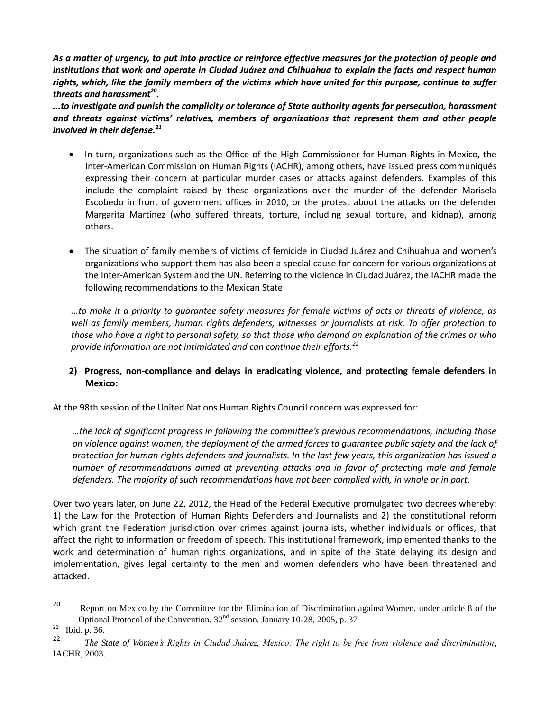*As a matter of urgency, to put into practice or reinforce effective measures for the protection of people and institutions that work and operate in Ciudad Juárez and Chihuahua to explain the facts and respect human rights, which, like the family members of the victims which have united for this purpose, continue to suffer threats and harassment<sup>20</sup> .*

*...to investigate and punish the complicity or tolerance of State authority agents for persecution, harassment and threats against victims' relatives, members of organizations that represent them and other people involved in their defense.<sup>21</sup>*

- In turn, organizations such as the Office of the High Commissioner for Human Rights in Mexico, the Inter-American Commission on Human Rights (IACHR), among others, have issued press communiqués expressing their concern at particular murder cases or attacks against defenders. Examples of this include the complaint raised by these organizations over the murder of the defender Marisela Escobedo in front of government offices in 2010, or the protest about the attacks on the defender Margarita Martínez (who suffered threats, torture, including sexual torture, and kidnap), among others.
- The situation of family members of victims of femicide in Ciudad Juárez and Chihuahua and women's organizations who support them has also been a special cause for concern for various organizations at the Inter-American System and the UN. Referring to the violence in Ciudad Juárez, the IACHR made the following recommendations to the Mexican State:

*...to make it a priority to guarantee safety measures for female victims of acts or threats of violence, as well as family members, human rights defenders, witnesses or journalists at risk. To offer protection to those who have a right to personal safety, so that those who demand an explanation of the crimes or who provide information are not intimidated and can continue their efforts.<sup>22</sup>*

# **2) Progress, non-compliance and delays in eradicating violence, and protecting female defenders in Mexico:**

At the 98th session of the United Nations Human Rights Council concern was expressed for:

*…the lack of significant progress in following the committee's previous recommendations, including those on violence against women, the deployment of the armed forces to guarantee public safety and the lack of protection for human rights defenders and journalists. In the last few years, this organization has issued a number of recommendations aimed at preventing attacks and in favor of protecting male and female defenders. The majority of such recommendations have not been complied with, in whole or in part.* 

Over two years later, on June 22, 2012, the Head of the Federal Executive promulgated two decrees whereby: 1) the Law for the Protection of Human Rights Defenders and Journalists and 2) the constitutional reform which grant the Federation jurisdiction over crimes against journalists, whether individuals or offices, that affect the right to information or freedom of speech. This institutional framework, implemented thanks to the work and determination of human rights organizations, and in spite of the State delaying its design and implementation, gives legal certainty to the men and women defenders who have been threatened and attacked.

 $\overline{a}$ 

<sup>&</sup>lt;sup>20</sup> Report on Mexico by the Committee for the Elimination of Discrimination against Women, under article 8 of the Optional Protocol of the Convention.  $32<sup>nd</sup>$  session. January 10-28, 2005, p. 37

 $21$  Ibid. p. 36.

<sup>22</sup> *The State of Women's Rights in Ciudad Juárez, Mexico: The right to be free from violence and discrimination*, IACHR, 2003.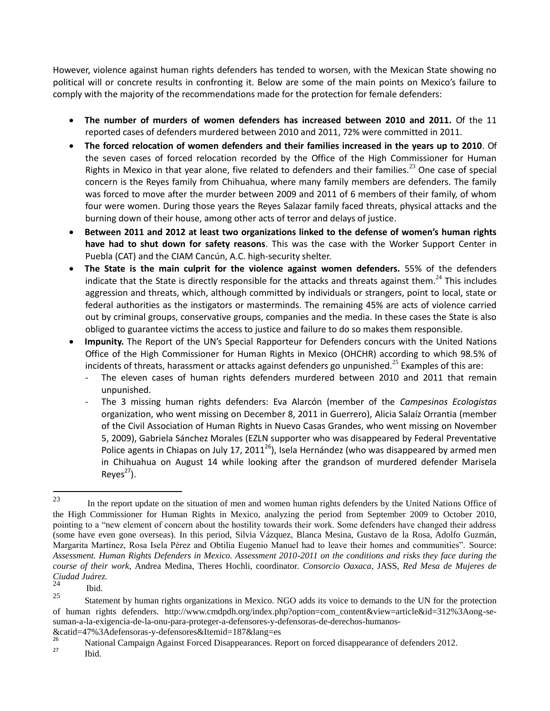However, violence against human rights defenders has tended to worsen, with the Mexican State showing no political will or concrete results in confronting it. Below are some of the main points on Mexico's failure to comply with the majority of the recommendations made for the protection for female defenders:

- **The number of murders of women defenders has increased between 2010 and 2011.** Of the 11 reported cases of defenders murdered between 2010 and 2011, 72% were committed in 2011.
- **The forced relocation of women defenders and their families increased in the years up to 2010**. Of the seven cases of forced relocation recorded by the Office of the High Commissioner for Human Rights in Mexico in that year alone, five related to defenders and their families.<sup>23</sup> One case of special concern is the Reyes family from Chihuahua, where many family members are defenders. The family was forced to move after the murder between 2009 and 2011 of 6 members of their family, of whom four were women. During those years the Reyes Salazar family faced threats, physical attacks and the burning down of their house, among other acts of terror and delays of justice.
- **Between 2011 and 2012 at least two organizations linked to the defense of women's human rights have had to shut down for safety reasons**. This was the case with the Worker Support Center in Puebla (CAT) and the CIAM Cancún, A.C. high-security shelter.
- **The State is the main culprit for the violence against women defenders.** 55% of the defenders indicate that the State is directly responsible for the attacks and threats against them. $^{24}$  This includes aggression and threats, which, although committed by individuals or strangers, point to local, state or federal authorities as the instigators or masterminds. The remaining 45% are acts of violence carried out by criminal groups, conservative groups, companies and the media. In these cases the State is also obliged to guarantee victims the access to justice and failure to do so makes them responsible.
- **Impunity.** The Report of the UN's Special Rapporteur for Defenders concurs with the United Nations Office of the High Commissioner for Human Rights in Mexico (OHCHR) according to which 98.5% of incidents of threats, harassment or attacks against defenders go unpunished.<sup>25</sup> Examples of this are:
	- The eleven cases of human rights defenders murdered between 2010 and 2011 that remain unpunished.
	- The 3 missing human rights defenders: Eva Alarcón (member of the *Campesinos Ecologistas* organization, who went missing on December 8, 2011 in Guerrero), Alicia Salaíz Orrantia (member of the Civil Association of Human Rights in Nuevo Casas Grandes, who went missing on November 5, 2009), Gabriela Sánchez Morales (EZLN supporter who was disappeared by Federal Preventative Police agents in Chiapas on July 17, 2011<sup>26</sup>), Isela Hernández (who was disappeared by armed men in Chihuahua on August 14 while looking after the grandson of murdered defender Marisela Reyes $^{27}$ ).

Ibid.

 $23$ In the report update on the situation of men and women human rights defenders by the United Nations Office of the High Commissioner for Human Rights in Mexico, analyzing the period from September 2009 to October 2010, pointing to a "new element of concern about the hostility towards their work. Some defenders have changed their address (some have even gone overseas). In this period, Silvia Vázquez, Blanca Mesina, Gustavo de la Rosa, Adolfo Guzmán, Margarita Martínez, Rosa Isela Pérez and Obtilia Eugenio Manuel had to leave their homes and communities". Source: *Assessment. Human Rights Defenders in Mexico. Assessment 2010-2011 on the conditions and risks they face during the course of their work,* Andrea Medina, Theres Hochli, coordinator. *Consorcio Oaxaca*, JASS, *Red Mesa de Mujeres de Ciudad Juárez.*

 $\frac{24}{25}$  Ibid.

<sup>25</sup> Statement by human rights organizations in Mexico. NGO adds its voice to demands to the UN for the protection of human rights defenders. http://www.cmdpdh.org/index.php?option=com\_content&view=article&id=312%3Aong-sesuman-a-la-exigencia-de-la-onu-para-proteger-a-defensores-y-defensoras-de-derechos-humanos-

<sup>&</sup>amp;catid=47%3Adefensoras-y-defensores&Itemid=187&lang=es <sup>26</sup> National Campaign Against Forced Disappearances. Report on forced disappearance of defenders 2012.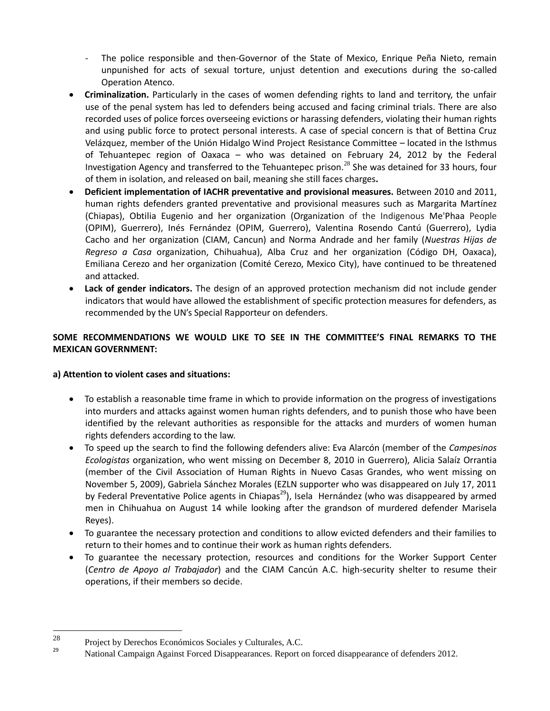- The police responsible and then-Governor of the State of Mexico, Enrique Peña Nieto, remain unpunished for acts of sexual torture, unjust detention and executions during the so-called Operation Atenco.
- **Criminalization.** Particularly in the cases of women defending rights to land and territory, the unfair use of the penal system has led to defenders being accused and facing criminal trials. There are also recorded uses of police forces overseeing evictions or harassing defenders, violating their human rights and using public force to protect personal interests. A case of special concern is that of Bettina Cruz Velázquez, member of the Unión Hidalgo Wind Project Resistance Committee – located in the Isthmus of Tehuantepec region of Oaxaca – who was detained on February 24, 2012 by the Federal Investigation Agency and transferred to the Tehuantepec prison.<sup>28</sup> She was detained for 33 hours, four of them in isolation, and released on bail, meaning she still faces charges**.**
- **Deficient implementation of IACHR preventative and provisional measures.** Between 2010 and 2011, human rights defenders granted preventative and provisional measures such as Margarita Martínez (Chiapas), Obtilia Eugenio and her organization (Organization of the Indigenous Me'Phaa People (OPIM), Guerrero), Inés Fernández (OPIM, Guerrero), Valentina Rosendo Cantú (Guerrero), Lydia Cacho and her organization (CIAM, Cancun) and Norma Andrade and her family (*Nuestras Hijas de Regreso a Casa* organization, Chihuahua), Alba Cruz and her organization (Código DH, Oaxaca), Emiliana Cerezo and her organization (Comité Cerezo, Mexico City), have continued to be threatened and attacked.
- **Lack of gender indicators.** The design of an approved protection mechanism did not include gender indicators that would have allowed the establishment of specific protection measures for defenders, as recommended by the UN's Special Rapporteur on defenders.

# **SOME RECOMMENDATIONS WE WOULD LIKE TO SEE IN THE COMMITTEE'S FINAL REMARKS TO THE MEXICAN GOVERNMENT:**

## **a) Attention to violent cases and situations:**

- To establish a reasonable time frame in which to provide information on the progress of investigations into murders and attacks against women human rights defenders, and to punish those who have been identified by the relevant authorities as responsible for the attacks and murders of women human rights defenders according to the law.
- To speed up the search to find the following defenders alive: Eva Alarcón (member of the *Campesinos Ecologistas* organization, who went missing on December 8, 2010 in Guerrero), Alicia Salaíz Orrantia (member of the Civil Association of Human Rights in Nuevo Casas Grandes, who went missing on November 5, 2009), Gabriela Sánchez Morales (EZLN supporter who was disappeared on July 17, 2011 by Federal Preventative Police agents in Chiapas<sup>29</sup>), Isela Hernández (who was disappeared by armed men in Chihuahua on August 14 while looking after the grandson of murdered defender Marisela Reyes).
- To guarantee the necessary protection and conditions to allow evicted defenders and their families to return to their homes and to continue their work as human rights defenders.
- To guarantee the necessary protection, resources and conditions for the Worker Support Center (*Centro de Apoyo al Trabajador*) and the CIAM Cancún A.C. high-security shelter to resume their operations, if their members so decide.

<sup>28</sup>  $2^8$  Project by Derechos Económicos Sociales y Culturales, A.C.

<sup>29</sup> National Campaign Against Forced Disappearances. Report on forced disappearance of defenders 2012.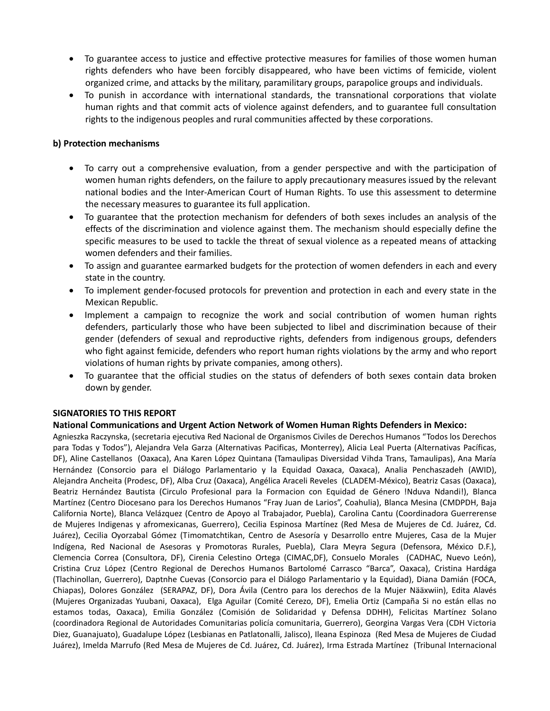- To guarantee access to justice and effective protective measures for families of those women human rights defenders who have been forcibly disappeared, who have been victims of femicide, violent organized crime, and attacks by the military, paramilitary groups, parapolice groups and individuals.
- To punish in accordance with international standards, the transnational corporations that violate human rights and that commit acts of violence against defenders, and to guarantee full consultation rights to the indigenous peoples and rural communities affected by these corporations.

## **b) Protection mechanisms**

- To carry out a comprehensive evaluation, from a gender perspective and with the participation of women human rights defenders, on the failure to apply precautionary measures issued by the relevant national bodies and the Inter-American Court of Human Rights. To use this assessment to determine the necessary measures to guarantee its full application.
- To guarantee that the protection mechanism for defenders of both sexes includes an analysis of the effects of the discrimination and violence against them. The mechanism should especially define the specific measures to be used to tackle the threat of sexual violence as a repeated means of attacking women defenders and their families.
- To assign and guarantee earmarked budgets for the protection of women defenders in each and every state in the country.
- To implement gender-focused protocols for prevention and protection in each and every state in the Mexican Republic.
- Implement a campaign to recognize the work and social contribution of women human rights defenders, particularly those who have been subjected to libel and discrimination because of their gender (defenders of sexual and reproductive rights, defenders from indigenous groups, defenders who fight against femicide, defenders who report human rights violations by the army and who report violations of human rights by private companies, among others).
- To guarantee that the official studies on the status of defenders of both sexes contain data broken down by gender.

#### **SIGNATORIES TO THIS REPORT**

#### **National Communications and Urgent Action Network of Women Human Rights Defenders in Mexico:**

Agnieszka Raczynska, (secretaria ejecutiva Red Nacional de Organismos Civiles de Derechos Humanos "Todos los Derechos para Todas y Todos"), Alejandra Vela Garza (Alternativas Pacificas, Monterrey), Alicia Leal Puerta (Alternativas Pacíficas, DF), Aline Castellanos (Oaxaca), Ana Karen López Quintana (Tamaulipas Diversidad Vihda Trans, Tamaulipas), Ana María Hernández (Consorcio para el Diálogo Parlamentario y la Equidad Oaxaca, Oaxaca), Analia Penchaszadeh (AWID), Alejandra Ancheita (Prodesc, DF), Alba Cruz (Oaxaca), Angélica Araceli Reveles (CLADEM-México), Beatriz Casas (Oaxaca), Beatriz Hernández Bautista (Circulo Profesional para la Formacion con Equidad de Género !Nduva Ndandi!), Blanca Martínez (Centro Diocesano para los Derechos Humanos "Fray Juan de Larios", Coahulia), Blanca Mesina (CMDPDH, Baja California Norte), Blanca Velázquez (Centro de Apoyo al Trabajador, Puebla), Carolina Cantu (Coordinadora Guerrerense de Mujeres Indigenas y afromexicanas, Guerrero), Cecilia Espinosa Martínez (Red Mesa de Mujeres de Cd. Juárez, Cd. Juárez), Cecilia Oyorzabal Gómez (Timomatchtikan, Centro de Asesoría y Desarrollo entre Mujeres, Casa de la Mujer Indígena, Red Nacional de Asesoras y Promotoras Rurales, Puebla), Clara Meyra Segura (Defensora, México D.F.), Clemencia Correa (Consultora, DF), Cirenia Celestino Ortega (CIMAC,DF), Consuelo Morales (CADHAC, Nuevo León), Cristina Cruz López (Centro Regional de Derechos Humanos Bartolomé Carrasco "Barca", Oaxaca), Cristina Hardága (Tlachinollan, Guerrero), Daptnhe Cuevas (Consorcio para el Diálogo Parlamentario y la Equidad), Diana Damián (FOCA, Chiapas), Dolores González (SERAPAZ, DF), Dora Ávila (Centro para los derechos de la Mujer Nääxwiin), Edita Alavés (Mujeres Organizadas Yuubani, Oaxaca), Elga Aguilar (Comité Cerezo, DF), Emelia Ortiz (Campaña Si no están ellas no estamos todas, Oaxaca), Emilia González (Comisión de Solidaridad y Defensa DDHH), Felicitas Martínez Solano (coordinadora Regional de Autoridades Comunitarias policía comunitaria, Guerrero), Georgina Vargas Vera (CDH Victoria Diez, Guanajuato), Guadalupe López (Lesbianas en Patlatonalli, Jalisco), Ileana Espinoza (Red Mesa de Mujeres de Ciudad Juárez), Imelda Marrufo (Red Mesa de Mujeres de Cd. Juárez, Cd. Juárez), Irma Estrada Martínez (Tribunal Internacional